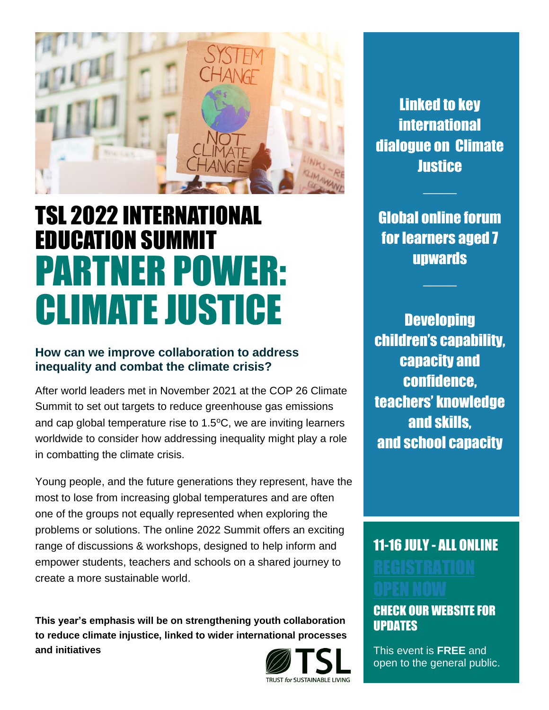

## TSL 2022 INTERNATIONAL EDUCATION SUMMIT PARTNER POWER: CLIMATE JUSTICE

## **How can we improve collaboration to address inequality and combat the climate crisis?**

After world leaders met in November 2021 at the COP 26 Climate Summit to set out targets to reduce greenhouse gas emissions and cap global temperature rise to  $1.5^{\circ}$ C, we are inviting learners worldwide to consider how addressing inequality might play a role in combatting the climate crisis.

Young people, and the future generations they represent, have the most to lose from increasing global temperatures and are often one of the groups not equally represented when exploring the problems or solutions. The online 2022 Summit offers an exciting range of discussions & workshops, designed to help inform and empower students, teachers and schools on a shared journey to create a more sustainable world.

**This year's emphasis will be on strengthening youth collaboration to reduce climate injustice, linked to wider international processes and initiatives**



Linked to key **international** dialogue on Climate **Justice** 

Global online forum for learners aged 7 upwards

**Developing** children's capability, capacity and confidence, teachers' knowledge and skills, and school capacity

## 11-16 JULY - ALL ONLINE

## CHECK OUR [WEBSITE](https://trustforsustainableliving.org/take-part/the-debates) FOR UPDATES

This event is **FREE** and open to the general public.